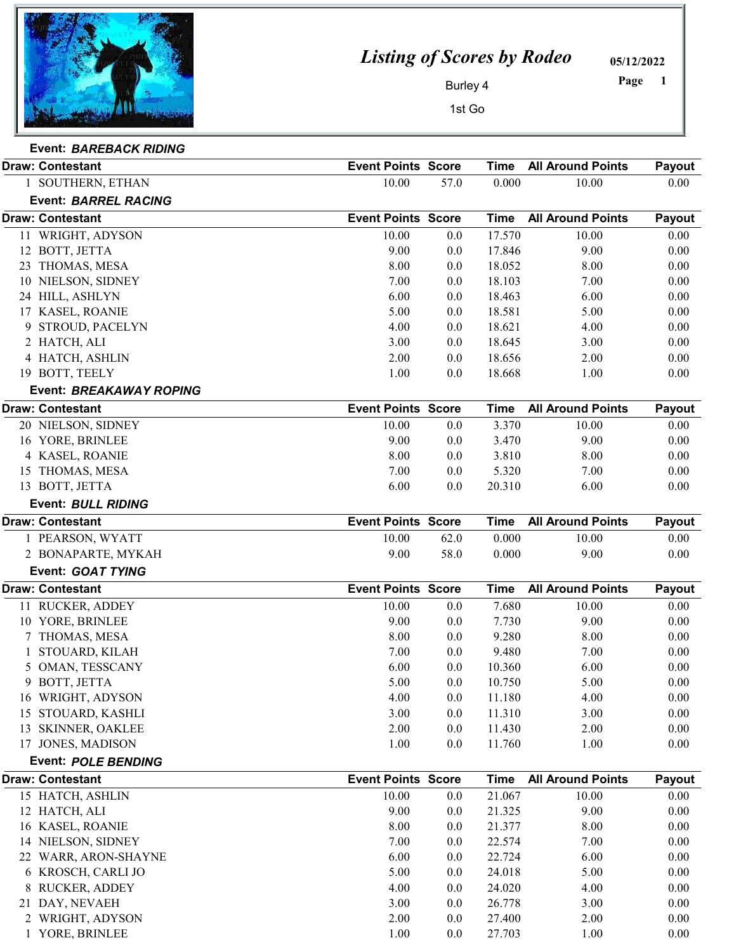

## *Listing of Scores by Rodeo*

05/12/2022

 Page

Burley 4

1st Go

| <b>Event: BAREBACK RIDING</b> |
|-------------------------------|
|                               |

| <b>Draw: Contestant</b>     | <b>Event Points Score</b> |         | <b>Time</b> | <b>All Around Points</b> | Payout |
|-----------------------------|---------------------------|---------|-------------|--------------------------|--------|
| 1 SOUTHERN, ETHAN           | 10.00                     | 57.0    | 0.000       | 10.00                    | 0.00   |
| <b>Event: BARREL RACING</b> |                           |         |             |                          |        |
| <b>Draw: Contestant</b>     | <b>Event Points Score</b> |         | <b>Time</b> | <b>All Around Points</b> | Payout |
| 11 WRIGHT, ADYSON           | 10.00                     | 0.0     | 17.570      | 10.00                    | 0.00   |
| 12 BOTT, JETTA              | 9.00                      | 0.0     | 17.846      | 9.00                     | 0.00   |
| THOMAS, MESA<br>23          | 8.00                      | 0.0     | 18.052      | 8.00                     | 0.00   |
| 10 NIELSON, SIDNEY          | 7.00                      | 0.0     | 18.103      | 7.00                     | 0.00   |
| 24 HILL, ASHLYN             | 6.00                      | 0.0     | 18.463      | 6.00                     | 0.00   |
| 17 KASEL, ROANIE            | 5.00                      | 0.0     | 18.581      | 5.00                     | 0.00   |
| 9 STROUD, PACELYN           | 4.00                      | 0.0     | 18.621      | 4.00                     | 0.00   |
| 2 HATCH, ALI                | 3.00                      | 0.0     | 18.645      | 3.00                     | 0.00   |
| 4 HATCH, ASHLIN             | 2.00                      | 0.0     | 18.656      | 2.00                     | 0.00   |
| 19 BOTT, TEELY              | 1.00                      | 0.0     | 18.668      | 1.00                     | 0.00   |
| Event: BREAKAWAY ROPING     |                           |         |             |                          |        |
| <b>Draw: Contestant</b>     | <b>Event Points Score</b> |         | <b>Time</b> | <b>All Around Points</b> | Payout |
| 20 NIELSON, SIDNEY          | 10.00                     | 0.0     | 3.370       | 10.00                    | 0.00   |
| 16 YORE, BRINLEE            | 9.00                      | 0.0     | 3.470       | 9.00                     | 0.00   |
| 4 KASEL, ROANIE             | 8.00                      | 0.0     | 3.810       | 8.00                     | 0.00   |
| 15 THOMAS, MESA             | 7.00                      | 0.0     | 5.320       | 7.00                     | 0.00   |
| 13 BOTT, JETTA              | 6.00                      | 0.0     | 20.310      | 6.00                     | 0.00   |
| Event: BULL RIDING          |                           |         |             |                          |        |
| <b>Draw: Contestant</b>     | <b>Event Points Score</b> |         | <b>Time</b> | <b>All Around Points</b> | Payout |
| 1 PEARSON, WYATT            | 10.00                     | 62.0    | 0.000       | 10.00                    | 0.00   |
| 2 BONAPARTE, MYKAH          | 9.00                      | 58.0    | 0.000       | 9.00                     | 0.00   |
| Event: GOAT TYING           |                           |         |             |                          |        |
| <b>Draw: Contestant</b>     | <b>Event Points Score</b> |         | <b>Time</b> | <b>All Around Points</b> | Payout |
| 11 RUCKER, ADDEY            | 10.00                     | 0.0     | 7.680       | 10.00                    | 0.00   |
| 10 YORE, BRINLEE            | 9.00                      | 0.0     | 7.730       | 9.00                     | 0.00   |
| 7 THOMAS, MESA              | 8.00                      | 0.0     | 9.280       | 8.00                     | 0.00   |
| STOUARD, KILAH              | 7.00                      | 0.0     | 9.480       | 7.00                     | 0.00   |
| 5 OMAN, TESSCANY            | 6.00                      | 0.0     | 10.360      | 6.00                     | 0.00   |
| 9 BOTT, JETTA               | 5.00                      | 0.0     | 10.750      | 5.00                     | 0.00   |
| 16 WRIGHT, ADYSON           | 4.00                      | $0.0\,$ | 11.180      | 4.00                     | 0.00   |
| 15 STOUARD, KASHLI          | 3.00                      | 0.0     | 11.310      | 3.00                     | 0.00   |
| 13 SKINNER, OAKLEE          | 2.00                      | 0.0     | 11.430      | 2.00                     | 0.00   |
| 17 JONES, MADISON           | 1.00                      | 0.0     | 11.760      | 1.00                     | 0.00   |
| <b>Event: POLE BENDING</b>  |                           |         |             |                          |        |
| <b>Draw: Contestant</b>     | <b>Event Points Score</b> |         | <b>Time</b> | <b>All Around Points</b> | Payout |
| 15 HATCH, ASHLIN            | 10.00                     | 0.0     | 21.067      | 10.00                    | 0.00   |
| 12 HATCH, ALI               | 9.00                      | 0.0     | 21.325      | 9.00                     | 0.00   |
| 16 KASEL, ROANIE            | 8.00                      | 0.0     | 21.377      | 8.00                     | 0.00   |
| 14 NIELSON, SIDNEY          | 7.00                      | 0.0     | 22.574      | 7.00                     | 0.00   |
| 22 WARR, ARON-SHAYNE        | 6.00                      | 0.0     | 22.724      | 6.00                     | 0.00   |
| 6 KROSCH, CARLI JO          | 5.00                      | 0.0     | 24.018      | 5.00                     | 0.00   |
| 8 RUCKER, ADDEY             | 4.00                      | 0.0     | 24.020      | 4.00                     | 0.00   |
| 21 DAY, NEVAEH              | 3.00                      | 0.0     | 26.778      | 3.00                     | 0.00   |
| 2 WRIGHT, ADYSON            | 2.00                      | 0.0     | 27.400      | 2.00                     | 0.00   |
| 1 YORE, BRINLEE             | 1.00                      | 0.0     | 27.703      | 1.00                     | 0.00   |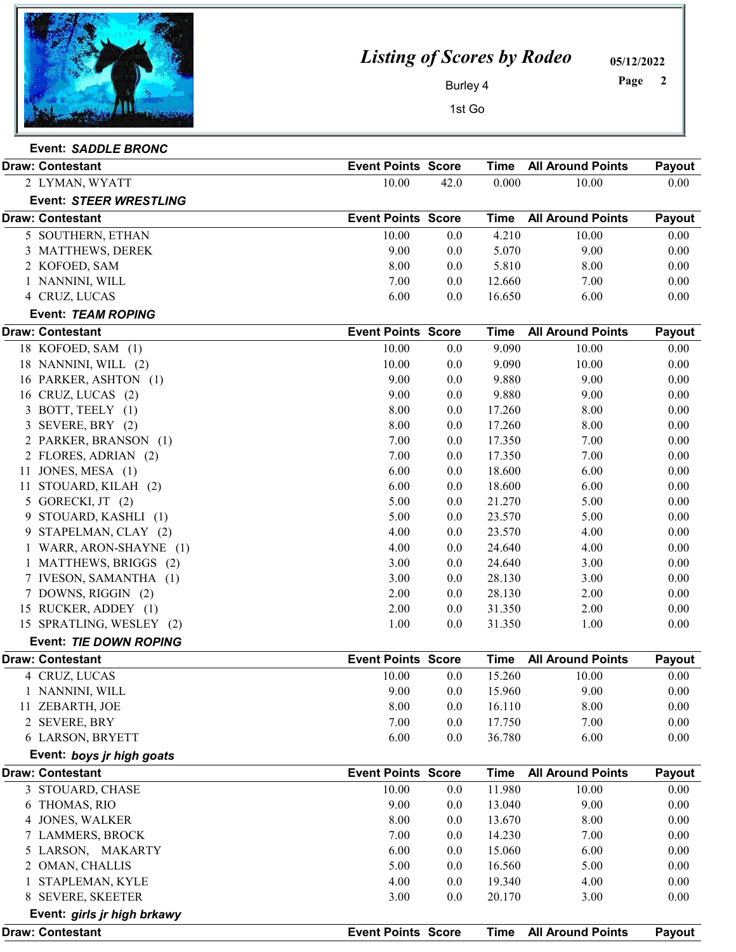

Event: *SADDLE BRONC*

## *Listing of Scores by Rodeo*

05/12/2022

 Page

Burley 4

1st Go

| LVUIII. <i>SAUULE DRUIVU</i> |                           |      |        |                          |        |
|------------------------------|---------------------------|------|--------|--------------------------|--------|
| <b>Draw: Contestant</b>      | <b>Event Points Score</b> |      | Time   | <b>All Around Points</b> | Payout |
| 2 LYMAN, WYATT               | 10.00                     | 42.0 | 0.000  | 10.00                    | 0.00   |
| Event: STEER WRESTLING       |                           |      |        |                          |        |
| <b>Draw: Contestant</b>      | <b>Event Points Score</b> |      | Time   | <b>All Around Points</b> | Payout |
| 5 SOUTHERN, ETHAN            | 10.00                     | 0.0  | 4.210  | 10.00                    | 0.00   |
| 3 MATTHEWS, DEREK            | 9.00                      | 0.0  | 5.070  | 9.00                     | 0.00   |
| 2 KOFOED, SAM                | 8.00                      | 0.0  | 5.810  | 8.00                     | 0.00   |
| NANNINI, WILL                | 7.00                      | 0.0  | 12.660 | 7.00                     | 0.00   |
| 4 CRUZ, LUCAS                | 6.00                      | 0.0  | 16.650 | 6.00                     | 0.00   |
|                              |                           |      |        |                          |        |

|    | Event: TEAM ROPING        |                           |     |             |                          |        |
|----|---------------------------|---------------------------|-----|-------------|--------------------------|--------|
|    | <b>Draw: Contestant</b>   | <b>Event Points Score</b> |     | <b>Time</b> | <b>All Around Points</b> | Payout |
|    | 18 KOFOED, SAM (1)        | 10.00                     | 0.0 | 9.090       | 10.00                    | 0.00   |
|    | 18 NANNINI, WILL (2)      | 10.00                     | 0.0 | 9.090       | 10.00                    | 0.00   |
|    | 16 PARKER, ASHTON (1)     | 9.00                      | 0.0 | 9.880       | 9.00                     | 0.00   |
|    | 16 CRUZ, LUCAS (2)        | 9.00                      | 0.0 | 9.880       | 9.00                     | 0.00   |
| 3  | BOTT, TEELY (1)           | 8.00                      | 0.0 | 17.260      | 8.00                     | 0.00   |
| 3  | SEVERE, BRY (2)           | 8.00                      | 0.0 | 17.260      | 8.00                     | 0.00   |
| 2  | PARKER, BRANSON (1)       | 7.00                      | 0.0 | 17.350      | 7.00                     | 0.00   |
|    | 2 FLORES, ADRIAN (2)      | 7.00                      | 0.0 | 17.350      | 7.00                     | 0.00   |
| 11 | JONES, MESA (1)           | 6.00                      | 0.0 | 18.600      | 6.00                     | 0.00   |
| 11 | STOUARD, KILAH (2)        | 6.00                      | 0.0 | 18.600      | 6.00                     | 0.00   |
| 5  | GORECKI, JT (2)           | 5.00                      | 0.0 | 21.270      | 5.00                     | 0.00   |
| 9  | STOUARD, KASHLI (1)       | 5.00                      | 0.0 | 23.570      | 5.00                     | 0.00   |
| 9  | STAPELMAN, CLAY (2)       | 4.00                      | 0.0 | 23.570      | 4.00                     | 0.00   |
|    | WARR, ARON-SHAYNE (1)     | 4.00                      | 0.0 | 24.640      | 4.00                     | 0.00   |
|    | 1 MATTHEWS, BRIGGS (2)    | 3.00                      | 0.0 | 24.640      | 3.00                     | 0.00   |
|    | 7 IVESON, SAMANTHA (1)    | 3.00                      | 0.0 | 28.130      | 3.00                     | 0.00   |
|    | 7 DOWNS, RIGGIN (2)       | 2.00                      | 0.0 | 28.130      | 2.00                     | 0.00   |
|    | 15 RUCKER, ADDEY (1)      | 2.00                      | 0.0 | 31.350      | 2.00                     | 0.00   |
|    | 15 SPRATLING, WESLEY (2)  | 1.00                      | 0.0 | 31.350      | 1.00                     | 0.00   |
|    | Event: TIE DOWN ROPING    |                           |     |             |                          |        |
|    | <b>Draw: Contestant</b>   | <b>Event Points Score</b> |     | <b>Time</b> | <b>All Around Points</b> | Payout |
|    | 4 CRUZ, LUCAS             | 10.00                     | 0.0 | 15.260      | 10.00                    | 0.00   |
|    | 1 NANNINI, WILL           | 9.00                      | 0.0 | 15.960      | 9.00                     | 0.00   |
|    | 11 ZEBARTH, JOE           | 8.00                      | 0.0 | 16.110      | 8.00                     | 0.00   |
|    | 2 SEVERE, BRY             | 7.00                      | 0.0 | 17.750      | 7.00                     | 0.00   |
|    | 6 LARSON, BRYETT          | 6.00                      | 0.0 | 36.780      | 6.00                     | 0.00   |
|    | Event: boys jr high goats |                           |     |             |                          |        |
|    | <b>Draw: Contestant</b>   | <b>Event Points Score</b> |     | Time        | <b>All Around Points</b> | Payout |
|    | 3 STOUARD, CHASE          | 10.00                     | 0.0 | 11.980      | 10.00                    | 0.00   |

| <b>Draw: Contestant</b>     | <b>Event Points Score</b> |     | Time   | <b>All Around Points</b> | <b>Pavout</b> |
|-----------------------------|---------------------------|-----|--------|--------------------------|---------------|
| Event: girls jr high brkawy |                           |     |        |                          |               |
| 8 SEVERE, SKEETER           | 3.00                      | 0.0 | 20.170 | 3.00                     | 0.00          |
| 1 STAPLEMAN, KYLE           | 4.00                      | 0.0 | 19.340 | 4.00                     | 0.00          |
| 2 OMAN, CHALLIS             | 5.00                      | 0.0 | 16.560 | 5.00                     | 0.00          |
| 5 LARSON, MAKARTY           | 6.00                      | 0.0 | 15.060 | 6.00                     | 0.00          |
| 7 LAMMERS, BROCK            | 7.00                      | 0.0 | 14.230 | 7.00                     | 0.00          |
| 4 JONES, WALKER             | 8.00                      | 0.0 | 13.670 | 8.00                     | 0.00          |
| 6 THOMAS, RIO               | 9.00                      | 0.0 | 13.040 | 9.00                     | 0.00          |
| 3 STOUARD, CHASE            | 10.00                     | 0.0 | 11.980 | 10.00                    | 0.00          |
|                             |                           |     |        |                          |               |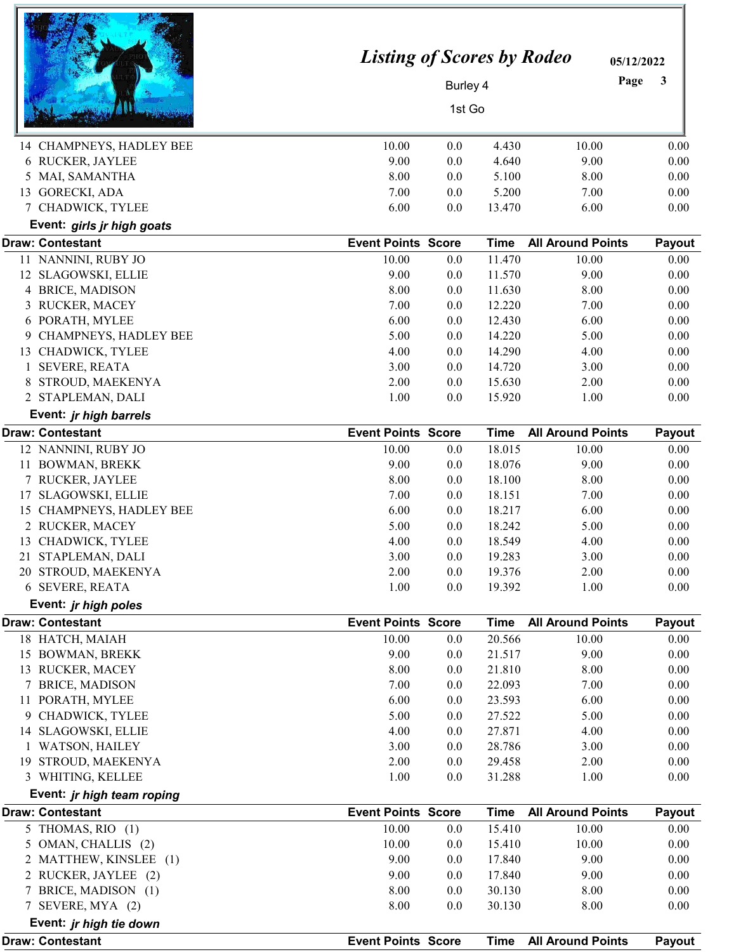| 14 CHAMPNEYS, HADLEY BEE                        | <b>Listing of Scores by Rodeo</b><br>10.00 | Burley 4<br>1st Go<br>0.0 | 4.430                 | 05/12/2022<br>Page<br>10.00 | 3<br>0.00      |
|-------------------------------------------------|--------------------------------------------|---------------------------|-----------------------|-----------------------------|----------------|
| 6 RUCKER, JAYLEE                                | 9.00                                       | 0.0                       | 4.640                 | 9.00                        | 0.00           |
| MAI, SAMANTHA                                   | 8.00                                       | 0.0                       | 5.100                 | 8.00                        | 0.00           |
| 13 GORECKI, ADA                                 | 7.00                                       | 0.0                       | 5.200                 | 7.00                        | 0.00           |
| 7 CHADWICK, TYLEE                               | 6.00                                       | 0.0                       | 13.470                | 6.00                        | 0.00           |
| Event: girls jr high goats                      |                                            |                           |                       |                             |                |
| <b>Draw: Contestant</b>                         | <b>Event Points Score</b>                  |                           | <b>Time</b>           | <b>All Around Points</b>    | Payout         |
| 11 NANNINI, RUBY JO                             | 10.00                                      | 0.0                       | 11.470                | 10.00                       | 0.00           |
| 12 SLAGOWSKI, ELLIE                             | 9.00                                       | 0.0                       | 11.570                | 9.00                        | 0.00           |
| 4 BRICE, MADISON                                | 8.00                                       | 0.0                       | 11.630                | 8.00                        | 0.00           |
| RUCKER, MACEY<br>3                              | 7.00                                       | 0.0                       | 12.220                | 7.00                        | 0.00           |
| 6 PORATH, MYLEE                                 | 6.00                                       | 0.0                       | 12.430                | 6.00                        | 0.00           |
| <b>CHAMPNEYS, HADLEY BEE</b><br>9               | 5.00                                       | 0.0                       | 14.220                | 5.00                        | 0.00           |
| 13 CHADWICK, TYLEE                              | 4.00                                       | 0.0                       | 14.290                | 4.00                        | 0.00           |
| <b>SEVERE, REATA</b>                            | 3.00                                       | 0.0                       | 14.720                | 3.00                        | 0.00           |
| STROUD, MAEKENYA<br>8                           | 2.00                                       | 0.0                       | 15.630                | 2.00                        | 0.00           |
| 2 STAPLEMAN, DALI                               | 1.00                                       | 0.0                       | 15.920                | 1.00                        | 0.00           |
| Event: jr high barrels                          |                                            |                           |                       |                             |                |
| <b>Draw: Contestant</b>                         | <b>Event Points Score</b>                  |                           | <b>Time</b>           | <b>All Around Points</b>    | Payout         |
| 12 NANNINI, RUBY JO                             | 10.00                                      | 0.0                       | 18.015                | 10.00                       | 0.00           |
| 11 BOWMAN, BREKK                                | 9.00                                       | 0.0                       | 18.076                | 9.00                        | 0.00           |
| 7 RUCKER, JAYLEE                                | 8.00                                       | 0.0                       | 18.100                | 8.00                        | 0.00           |
| 17 SLAGOWSKI, ELLIE                             | 7.00                                       | 0.0                       | 18.151                | 7.00                        | 0.00           |
| <b>CHAMPNEYS, HADLEY BEE</b><br>15              | 6.00                                       | 0.0                       | 18.217                | 6.00                        | 0.00           |
| 2 RUCKER, MACEY                                 | 5.00                                       | 0.0                       | 18.242                | 5.00                        | 0.00           |
| 13 CHADWICK, TYLEE<br>21 STAPLEMAN, DALI        | 4.00<br>3.00                               | 0.0<br>0.0                | 18.549<br>19.283      | 4.00<br>3.00                | 0.00<br>0.00   |
| STROUD, MAEKENYA<br>20                          | 2.00                                       | 0.0                       | 19.376                | 2.00                        | 0.00           |
| 6 SEVERE, REATA                                 | 1.00                                       | 0.0                       | 19.392                | 1.00                        | 0.00           |
|                                                 |                                            |                           |                       |                             |                |
| Event: jr high poles<br><b>Draw: Contestant</b> | <b>Event Points Score</b>                  |                           |                       | <b>All Around Points</b>    |                |
|                                                 | 10.00                                      |                           | <b>Time</b><br>20.566 | 10.00                       | Payout<br>0.00 |
| 18 HATCH, MAIAH                                 | 9.00                                       | 0.0<br>0.0                | 21.517                | 9.00                        | 0.00           |
| 15 BOWMAN, BREKK<br>13 RUCKER, MACEY            | 8.00                                       | 0.0                       | 21.810                | 8.00                        | 0.00           |
| 7 BRICE, MADISON                                | 7.00                                       | 0.0                       | 22.093                | 7.00                        | 0.00           |
| 11 PORATH, MYLEE                                | 6.00                                       | 0.0                       | 23.593                | 6.00                        | 0.00           |
| 9 CHADWICK, TYLEE                               | 5.00                                       | 0.0                       | 27.522                | 5.00                        | 0.00           |
| 14 SLAGOWSKI, ELLIE                             | 4.00                                       | 0.0                       | 27.871                | 4.00                        | 0.00           |
| 1 WATSON, HAILEY                                | 3.00                                       | 0.0                       | 28.786                | 3.00                        | 0.00           |
| 19 STROUD, MAEKENYA                             | 2.00                                       | 0.0                       | 29.458                | 2.00                        | 0.00           |
| 3 WHITING, KELLEE                               | 1.00                                       | 0.0                       | 31.288                | 1.00                        | 0.00           |
| Event: jr high team roping                      |                                            |                           |                       |                             |                |
| <b>Draw: Contestant</b>                         | <b>Event Points Score</b>                  |                           | <b>Time</b>           | <b>All Around Points</b>    | Payout         |
| 5 THOMAS, RIO (1)                               | 10.00                                      | 0.0                       | 15.410                | 10.00                       | 0.00           |
| OMAN, CHALLIS (2)<br>5                          | 10.00                                      | 0.0                       | 15.410                | 10.00                       | 0.00           |
| 2 MATTHEW, KINSLEE (1)                          | 9.00                                       | 0.0                       | 17.840                | 9.00                        | 0.00           |
| 2 RUCKER, JAYLEE (2)                            | 9.00                                       | 0.0                       | 17.840                | 9.00                        | 0.00           |
| 7 BRICE, MADISON (1)                            | 8.00                                       | 0.0                       | 30.130                | 8.00                        | 0.00           |
| 7 SEVERE, MYA (2)                               | 8.00                                       | 0.0                       | 30.130                | 8.00                        | 0.00           |
| Event: jr high tie down                         |                                            |                           |                       |                             |                |
| <b>Draw: Contestant</b>                         | <b>Event Points Score</b>                  |                           | Time                  | <b>All Around Points</b>    | Payout         |

÷.